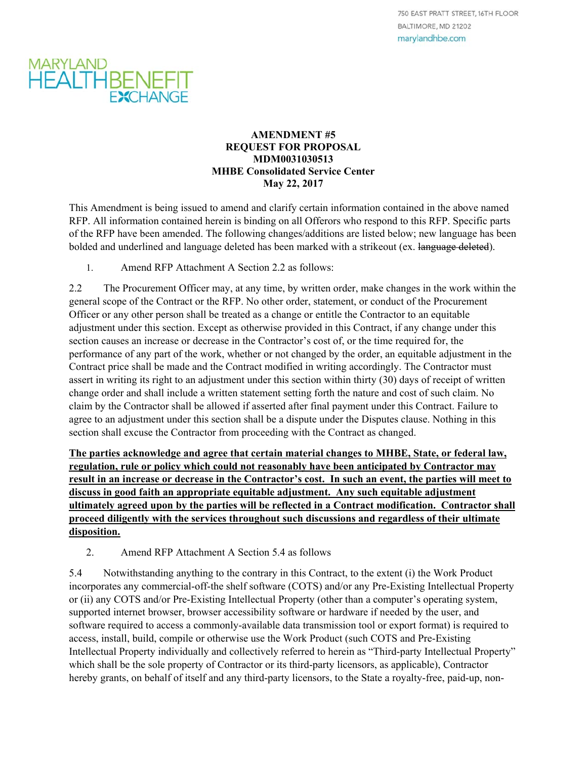## MARYLAND<br>HEALTHBENEFIT **EXCHANGE**

## **AMENDMENT #5 REQUEST FOR PROPOSAL MDM0031030513 MHBE Consolidated Service Center May 22, 2017**

This Amendment is being issued to amend and clarify certain information contained in the above named RFP. All information contained herein is binding on all Offerors who respond to this RFP. Specific parts of the RFP have been amended. The following changes/additions are listed below; new language has been bolded and underlined and language deleted has been marked with a strikeout (ex. language deleted).

1. Amend RFP Attachment A Section 2.2 as follows:

2.2 The Procurement Officer may, at any time, by written order, make changes in the work within the general scope of the Contract or the RFP. No other order, statement, or conduct of the Procurement Officer or any other person shall be treated as a change or entitle the Contractor to an equitable adjustment under this section. Except as otherwise provided in this Contract, if any change under this section causes an increase or decrease in the Contractor's cost of, or the time required for, the performance of any part of the work, whether or not changed by the order, an equitable adjustment in the Contract price shall be made and the Contract modified in writing accordingly. The Contractor must assert in writing its right to an adjustment under this section within thirty (30) days of receipt of written change order and shall include a written statement setting forth the nature and cost of such claim. No claim by the Contractor shall be allowed if asserted after final payment under this Contract. Failure to agree to an adjustment under this section shall be a dispute under the Disputes clause. Nothing in this section shall excuse the Contractor from proceeding with the Contract as changed.

**The parties acknowledge and agree that certain material changes to MHBE, State, or federal law, regulation, rule or policy which could not reasonably have been anticipated by Contractor may result in an increase or decrease in the Contractor's cost. In such an event, the parties will meet to discuss in good faith an appropriate equitable adjustment. Any such equitable adjustment ultimately agreed upon by the parties will be reflected in a Contract modification. Contractor shall proceed diligently with the services throughout such discussions and regardless of their ultimate disposition.** 

2. Amend RFP Attachment A Section 5.4 as follows

5.4 Notwithstanding anything to the contrary in this Contract, to the extent (i) the Work Product incorporates any commercial-off-the shelf software (COTS) and/or any Pre-Existing Intellectual Property or (ii) any COTS and/or Pre-Existing Intellectual Property (other than a computer's operating system, supported internet browser, browser accessibility software or hardware if needed by the user, and software required to access a commonly-available data transmission tool or export format) is required to access, install, build, compile or otherwise use the Work Product (such COTS and Pre-Existing Intellectual Property individually and collectively referred to herein as "Third-party Intellectual Property" which shall be the sole property of Contractor or its third-party licensors, as applicable), Contractor hereby grants, on behalf of itself and any third-party licensors, to the State a royalty-free, paid-up, non